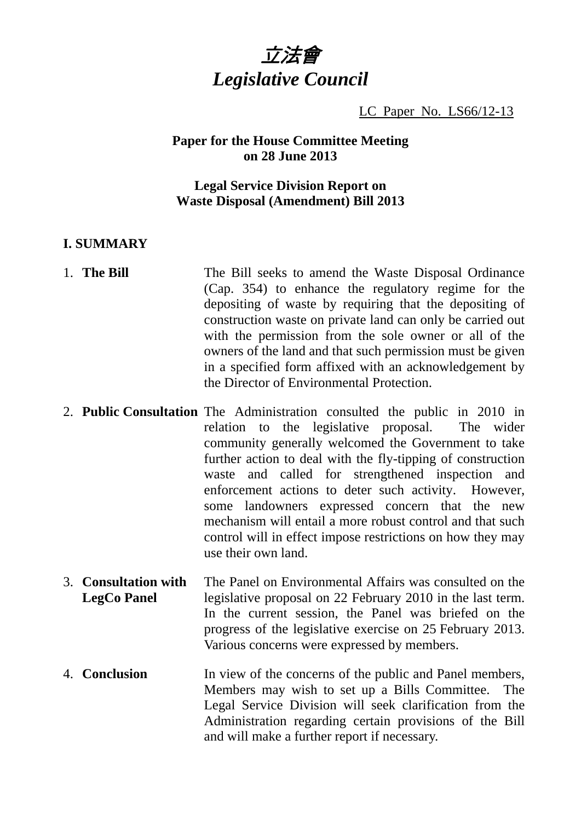

LC Paper No. LS66/12-13

#### **Paper for the House Committee Meeting on 28 June 2013**

### **Legal Service Division Report on Waste Disposal (Amendment) Bill 2013**

### **I. SUMMARY**

- 1. **The Bill The Bill seeks to amend the Waste Disposal Ordinance** (Cap. 354) to enhance the regulatory regime for the depositing of waste by requiring that the depositing of construction waste on private land can only be carried out with the permission from the sole owner or all of the owners of the land and that such permission must be given in a specified form affixed with an acknowledgement by the Director of Environmental Protection.
- 2. **Public Consultation** The Administration consulted the public in 2010 in relation to the legislative proposal. The wider community generally welcomed the Government to take further action to deal with the fly-tipping of construction waste and called for strengthened inspection and enforcement actions to deter such activity. However, some landowners expressed concern that the new mechanism will entail a more robust control and that such control will in effect impose restrictions on how they may use their own land.
- 3. **Consultation with LegCo Panel**  The Panel on Environmental Affairs was consulted on the legislative proposal on 22 February 2010 in the last term. In the current session, the Panel was briefed on the progress of the legislative exercise on 25 February 2013. Various concerns were expressed by members.
- 4. **Conclusion** In view of the concerns of the public and Panel members, Members may wish to set up a Bills Committee. The Legal Service Division will seek clarification from the Administration regarding certain provisions of the Bill and will make a further report if necessary.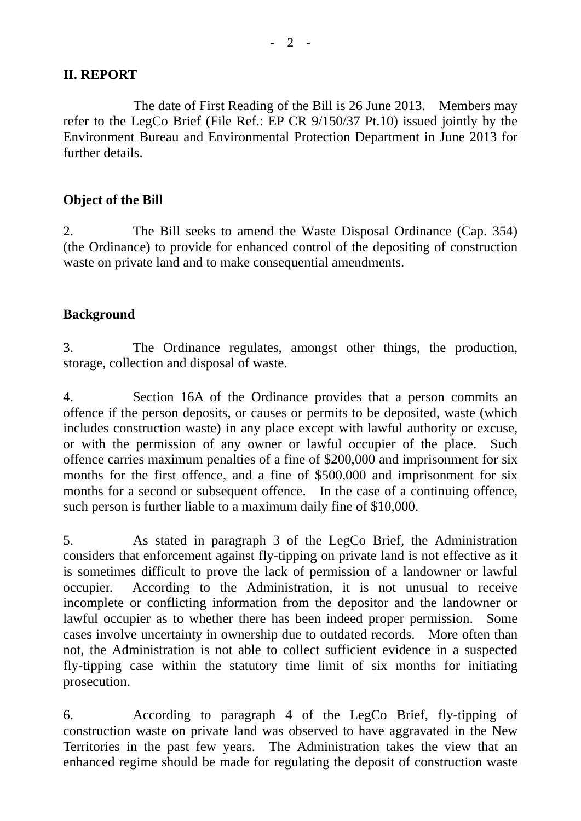## **II. REPORT**

 The date of First Reading of the Bill is 26 June 2013. Members may refer to the LegCo Brief (File Ref.: EP CR 9/150/37 Pt.10) issued jointly by the Environment Bureau and Environmental Protection Department in June 2013 for further details.

# **Object of the Bill**

2. The Bill seeks to amend the Waste Disposal Ordinance (Cap. 354) (the Ordinance) to provide for enhanced control of the depositing of construction waste on private land and to make consequential amendments.

## **Background**

3. The Ordinance regulates, amongst other things, the production, storage, collection and disposal of waste.

4. Section 16A of the Ordinance provides that a person commits an offence if the person deposits, or causes or permits to be deposited, waste (which includes construction waste) in any place except with lawful authority or excuse, or with the permission of any owner or lawful occupier of the place. Such offence carries maximum penalties of a fine of \$200,000 and imprisonment for six months for the first offence, and a fine of \$500,000 and imprisonment for six months for a second or subsequent offence. In the case of a continuing offence, such person is further liable to a maximum daily fine of \$10,000.

5. As stated in paragraph 3 of the LegCo Brief, the Administration considers that enforcement against fly-tipping on private land is not effective as it is sometimes difficult to prove the lack of permission of a landowner or lawful occupier. According to the Administration, it is not unusual to receive incomplete or conflicting information from the depositor and the landowner or lawful occupier as to whether there has been indeed proper permission. Some cases involve uncertainty in ownership due to outdated records. More often than not, the Administration is not able to collect sufficient evidence in a suspected fly-tipping case within the statutory time limit of six months for initiating prosecution.

6. According to paragraph 4 of the LegCo Brief, fly-tipping of construction waste on private land was observed to have aggravated in the New Territories in the past few years. The Administration takes the view that an enhanced regime should be made for regulating the deposit of construction waste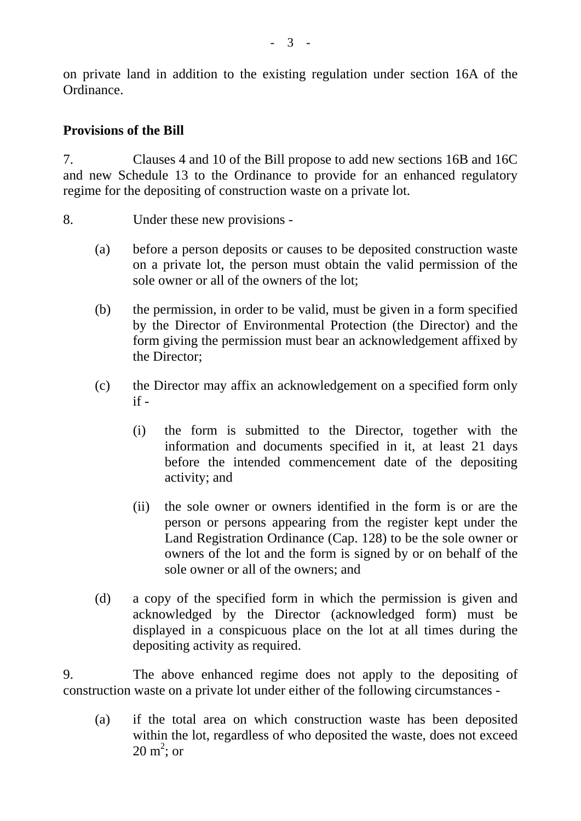on private land in addition to the existing regulation under section 16A of the Ordinance.

# **Provisions of the Bill**

7. Clauses 4 and 10 of the Bill propose to add new sections 16B and 16C and new Schedule 13 to the Ordinance to provide for an enhanced regulatory regime for the depositing of construction waste on a private lot.

- 8. Under these new provisions
	- (a) before a person deposits or causes to be deposited construction waste on a private lot, the person must obtain the valid permission of the sole owner or all of the owners of the lot;
	- (b) the permission, in order to be valid, must be given in a form specified by the Director of Environmental Protection (the Director) and the form giving the permission must bear an acknowledgement affixed by the Director;
	- (c) the Director may affix an acknowledgement on a specified form only  $if -$ 
		- (i) the form is submitted to the Director, together with the information and documents specified in it, at least 21 days before the intended commencement date of the depositing activity; and
		- (ii) the sole owner or owners identified in the form is or are the person or persons appearing from the register kept under the Land Registration Ordinance (Cap. 128) to be the sole owner or owners of the lot and the form is signed by or on behalf of the sole owner or all of the owners; and
	- (d) a copy of the specified form in which the permission is given and acknowledged by the Director (acknowledged form) must be displayed in a conspicuous place on the lot at all times during the depositing activity as required.

9. The above enhanced regime does not apply to the depositing of construction waste on a private lot under either of the following circumstances -

(a) if the total area on which construction waste has been deposited within the lot, regardless of who deposited the waste, does not exceed  $20 \text{ m}^2$ ; or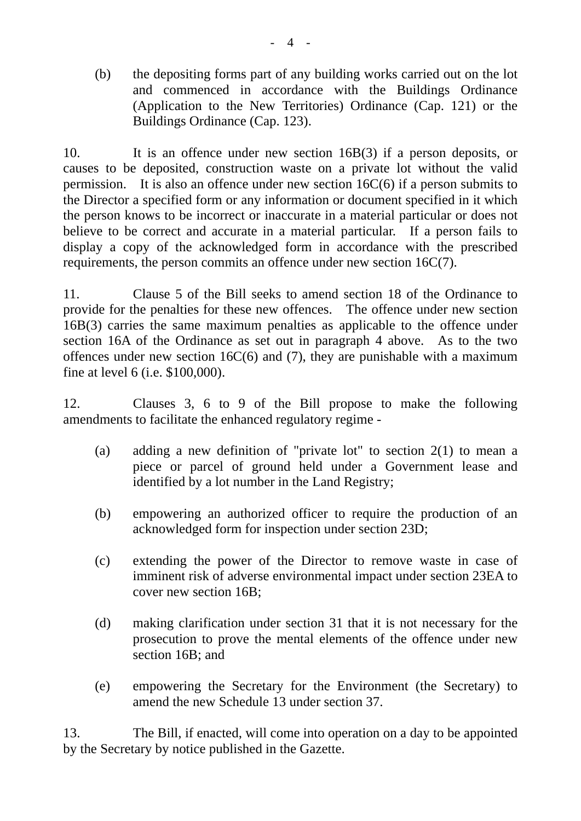(b) the depositing forms part of any building works carried out on the lot and commenced in accordance with the Buildings Ordinance (Application to the New Territories) Ordinance (Cap. 121) or the Buildings Ordinance (Cap. 123).

10. It is an offence under new section 16B(3) if a person deposits, or causes to be deposited, construction waste on a private lot without the valid permission. It is also an offence under new section 16C(6) if a person submits to the Director a specified form or any information or document specified in it which the person knows to be incorrect or inaccurate in a material particular or does not believe to be correct and accurate in a material particular. If a person fails to display a copy of the acknowledged form in accordance with the prescribed requirements, the person commits an offence under new section 16C(7).

11. Clause 5 of the Bill seeks to amend section 18 of the Ordinance to provide for the penalties for these new offences. The offence under new section 16B(3) carries the same maximum penalties as applicable to the offence under section 16A of the Ordinance as set out in paragraph 4 above. As to the two offences under new section 16 $C(6)$  and (7), they are punishable with a maximum fine at level 6 (i.e. \$100,000).

12. Clauses 3, 6 to 9 of the Bill propose to make the following amendments to facilitate the enhanced regulatory regime -

- (a) adding a new definition of "private lot" to section 2(1) to mean a piece or parcel of ground held under a Government lease and identified by a lot number in the Land Registry;
- (b) empowering an authorized officer to require the production of an acknowledged form for inspection under section 23D;
- (c) extending the power of the Director to remove waste in case of imminent risk of adverse environmental impact under section 23EA to cover new section 16B;
- (d) making clarification under section 31 that it is not necessary for the prosecution to prove the mental elements of the offence under new section 16B; and
- (e) empowering the Secretary for the Environment (the Secretary) to amend the new Schedule 13 under section 37.

13. The Bill, if enacted, will come into operation on a day to be appointed by the Secretary by notice published in the Gazette.